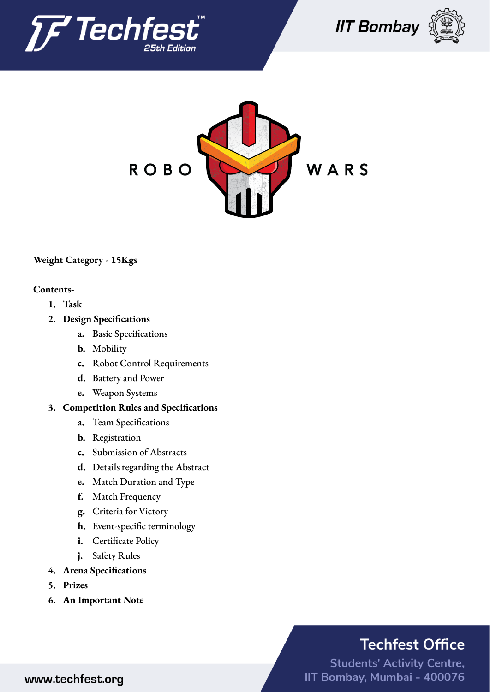







## **Weight Category - 15Kgs**

### **Contents-**

- **1. Task**
- **2. Design Specifications**
	- **a.** Basic Specifications
	- **b.** Mobility
	- **c.** Robot Control Requirements
	- **d.** Battery and Power
	- **e.** Weapon Systems
- **3. Competition Rules and Specifications**
	- **a.** Team Specifications
	- **b.** Registration
	- **c.** Submission of Abstracts
	- **d.** Details regarding the Abstract
	- **e.** Match Duration and Type
	- **f.** Match Frequency
	- **g.** Criteria for Victory
	- **h.** Event-specific terminology
	- **i.** Certificate Policy
	- **j.** Safety Rules
- **4. Arena Specifications**
- **5. Prizes**
- **6. An Important Note**

# **Techfest Office**

**Students' Activity Centre,** IIT Bombay, Mumbai - 400076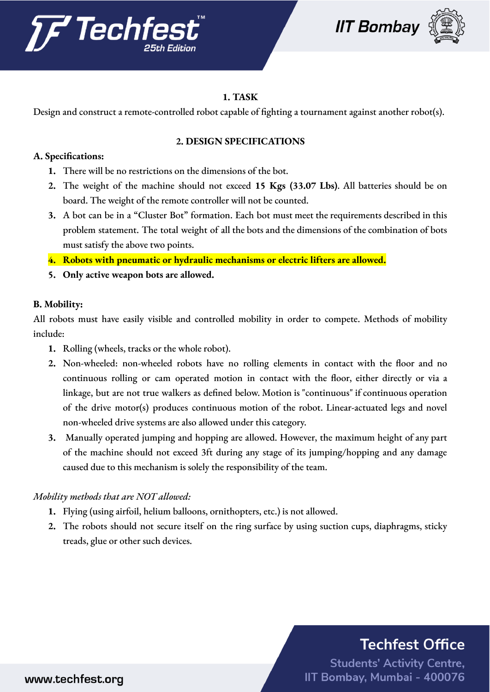





## **1. TASK**

Design and construct a remote-controlled robot capable of fighting a tournament against another robot(s).

### **2. DESIGN SPECIFICATIONS**

### **A. Specifications:**

- **1.** There will be no restrictions on the dimensions of the bot.
- **2.** The weight of the machine should not exceed **15 Kgs (33.07 Lbs)**. All batteries should be on board. The weight of the remote controller will not be counted.
- **3.** A bot can be in a "Cluster Bot" formation. Each bot must meet the requirements described in this problem statement. The total weight of all the bots and the dimensions of the combination of bots must satisfy the above two points.
- **4. Robots with pneumatic or hydraulic mechanisms or electric lifters are allowed.**
- **5. Only active weapon bots are allowed.**

### **B. Mobility:**

All robots must have easily visible and controlled mobility in order to compete. Methods of mobility include:

- **1.** Rolling (wheels, tracks or the whole robot).
- **2.** Non-wheeled: non-wheeled robots have no rolling elements in contact with the floor and no continuous rolling or cam operated motion in contact with the floor, either directly or via a linkage, but are not true walkers as defined below. Motion is "continuous" if continuous operation of the drive motor(s) produces continuous motion of the robot. Linear-actuated legs and novel non-wheeled drive systems are also allowed under this category.
- **3.** Manually operated jumping and hopping are allowed. However, the maximum height of any part of the machine should not exceed 3ft during any stage of its jumping/hopping and any damage caused due to this mechanism is solely the responsibility of the team.

## *Mobility methods that are NOT allowed:*

- **1.** Flying (using airfoil, helium balloons, ornithopters, etc.) is not allowed.
- **2.** The robots should not secure itself on the ring surface by using suction cups, diaphragms, sticky treads, glue or other such devices.

# **Techfest Office**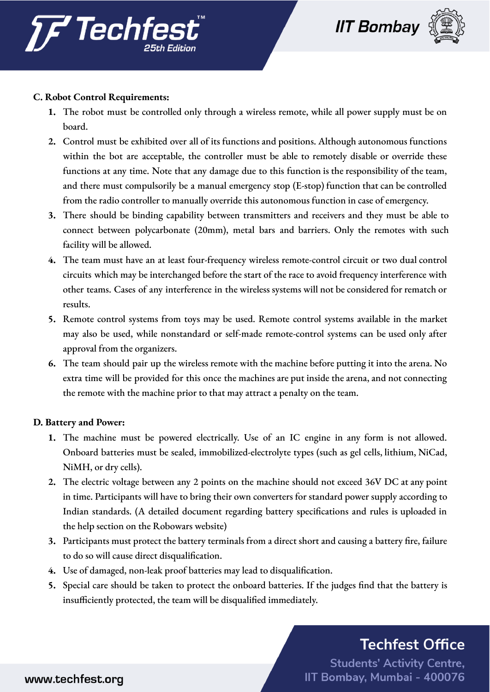



### **C. Robot Control Requirements:**

- **1.** The robot must be controlled only through a wireless remote, while all power supply must be on board.
- **2.** Control must be exhibited over all of its functions and positions. Although autonomous functions within the bot are acceptable, the controller must be able to remotely disable or override these functions at any time. Note that any damage due to this function is the responsibility of the team, and there must compulsorily be a manual emergency stop (E-stop) function that can be controlled from the radio controller to manually override this autonomous function in case of emergency.
- **3.** There should be binding capability between transmitters and receivers and they must be able to connect between polycarbonate (20mm), metal bars and barriers. Only the remotes with such facility will be allowed.
- **4.** The team must have an at least four-frequency wireless remote-control circuit or two dual control circuits which may be interchanged before the start of the race to avoid frequency interference with other teams. Cases of any interference in the wireless systems will not be considered for rematch or results.
- **5.** Remote control systems from toys may be used. Remote control systems available in the market may also be used, while nonstandard or self-made remote-control systems can be used only after approval from the organizers.
- **6.** The team should pair up the wireless remote with the machine before putting it into the arena. No extra time will be provided for this once the machines are put inside the arena, and not connecting the remote with the machine prior to that may attract a penalty on the team.

### **D. Battery and Power:**

- **1.** The machine must be powered electrically. Use of an IC engine in any form is not allowed. Onboard batteries must be sealed, immobilized-electrolyte types (such as gel cells, lithium, NiCad, NiMH, or dry cells).
- **2.** The electric voltage between any 2 points on the machine should not exceed 36V DC at any point in time. Participants will have to bring their own converters for standard power supply according to Indian standards. (A detailed document regarding battery specifications and rules is uploaded in the help section on the Robowars website)
- **3.** Participants must protect the battery terminals from a direct short and causing a battery fire, failure to do so will cause direct disqualification.
- **4.** Use of damaged, non-leak proof batteries may lead to disqualification.
- **5.** Special care should be taken to protect the onboard batteries. If the judges find that the battery is insufficiently protected, the team will be disqualified immediately.

# **Techfest Office**

**Students' Activity Centre,** IIT Bombay, Mumbai - 400076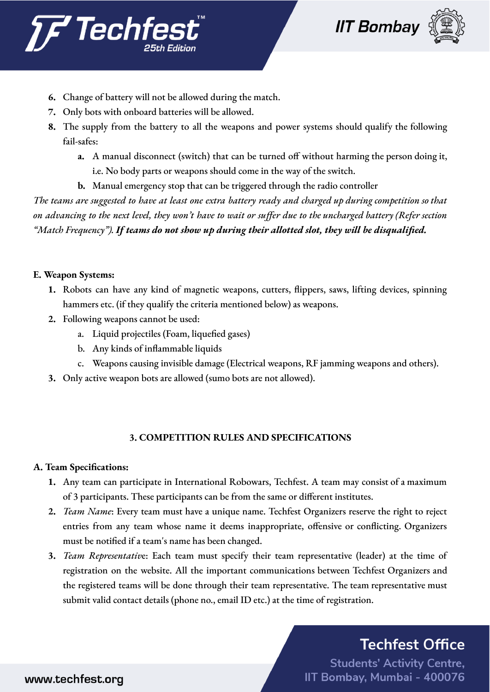



- **6.** Change of battery will not be allowed during the match.
- **7.** Only bots with onboard batteries will be allowed.
- **8.** The supply from the battery to all the weapons and power systems should qualify the following fail-safes:
	- **a.** A manual disconnect (switch) that can be turned off without harming the person doing it, i.e. No body parts or weapons should come in the way of the switch.
	- **b.** Manual emergency stop that can be triggered through the radio controller

The teams are suggested to have at least one extra battery ready and charged up during competition so that on advancing to the next level, they won't have to wait or suffer due to the uncharged battery (Refer section *"Match Frequency"). If teams do not show up during their allotted slot, they will be disqualified.*

### **E. Weapon Systems:**

- **1.** Robots can have any kind of magnetic weapons, cutters, flippers, saws, lifting devices, spinning hammers etc. (if they qualify the criteria mentioned below) as weapons.
- **2.** Following weapons cannot be used:
	- a. Liquid projectiles (Foam, liquefied gases)
	- b. Any kinds of inflammable liquids
	- c. Weapons causing invisible damage (Electrical weapons, RF jamming weapons and others).
- **3.** Only active weapon bots are allowed (sumo bots are not allowed).

### **3. COMPETITION RULES AND SPECIFICATIONS**

### **A. Team Specifications:**

- **1.** Any team can participate in International Robowars, Techfest. A team may consist of a maximum of 3 participants. These participants can be from the same or different institutes.
- **2.** *Team Name*: Every team must have a unique name. Techfest Organizers reserve the right to reject entries from any team whose name it deems inappropriate, offensive or conflicting. Organizers must be notified if a team's name has been changed.
- **3.** *Team Representativ*e: Each team must specify their team representative (leader) at the time of registration on the website. All the important communications between Techfest Organizers and the registered teams will be done through their team representative. The team representative must submit valid contact details (phone no., email ID etc.) at the time of registration.

## **Techfest Office**

**Students' Activity Centre,** IIT Bombay, Mumbai - 400076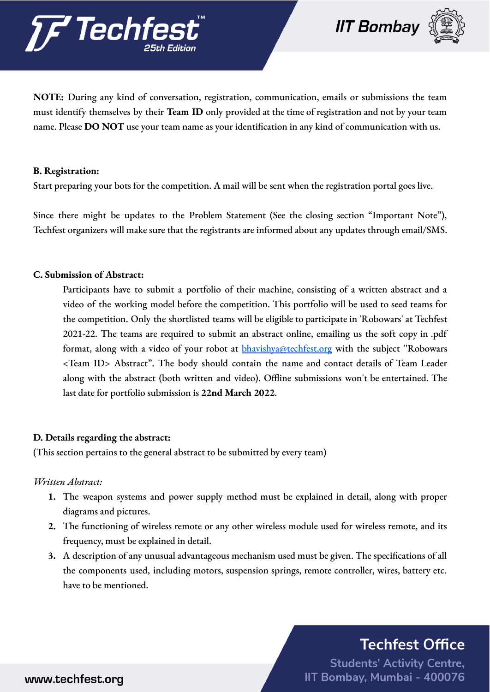



**NOTE:** During any kind of conversation, registration, communication, emails or submissions the team must identify themselves by their **Team ID** only provided at the time of registration and not by your team name. Please **DO NOT** use your team name as your identification in any kind of communication with us.

### **B. Registration:**

Start preparing your bots for the competition. A mail will be sent when the registration portal goes live.

Since there might be updates to the Problem Statement (See the closing section "Important Note"), Techfest organizers will make sure that the registrants are informed about any updates through email/SMS.

### **C. Submission of Abstract:**

Participants have to submit a portfolio of their machine, consisting of a written abstract and a video of the working model before the competition. This portfolio will be used to seed teams for the competition. Only the shortlisted teams will be eligible to participate in 'Robowars' at Techfest 2021-22. The teams are required to submit an abstract online, emailing us the soft copy in .pdf format, along with a video of your robot at **[bhavishya@techfest.org](mailto:bhavishya@techfest.org)** with the subject "Robowars <Team ID> Abstract". The body should contain the name and contact details of Team Leader along with the abstract (both written and video). Offline submissions won't be entertained. The last date for portfolio submission is **22nd March 2022**.

### **D. Details regarding the abstract:**

(This section pertains to the general abstract to be submitted by every team)

### *Written Abstract:*

- **1.** The weapon systems and power supply method must be explained in detail, along with proper diagrams and pictures.
- **2.** The functioning of wireless remote or any other wireless module used for wireless remote, and its frequency, must be explained in detail.
- **3.** A description of any unusual advantageous mechanism used must be given. The specifications of all the components used, including motors, suspension springs, remote controller, wires, battery etc. have to be mentioned.

# **Techfest Office**

**Students' Activity Centre,** IIT Bombay, Mumbai - 400076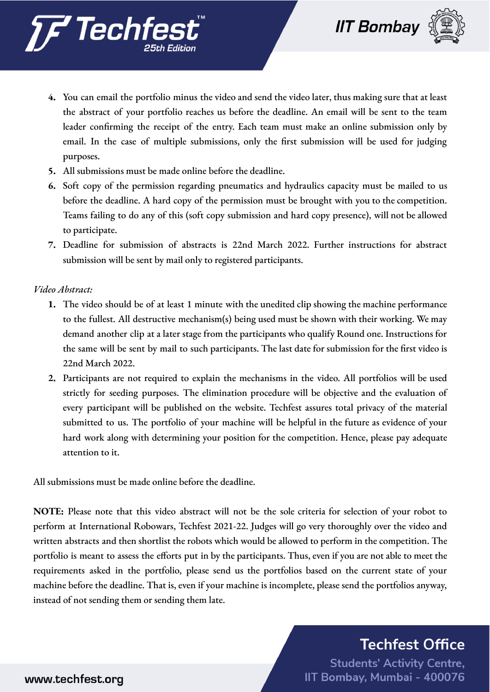



- **4.** You can email the portfolio minus the video and send the video later, thus making sure that at least the abstract of your portfolio reaches us before the deadline. An email will be sent to the team leader confirming the receipt of the entry. Each team must make an online submission only by email. In the case of multiple submissions, only the first submission will be used for judging purposes.
- **5.** All submissions must be made online before the deadline.
- **6.** Soft copy of the permission regarding pneumatics and hydraulics capacity must be mailed to us before the deadline. A hard copy of the permission must be brought with you to the competition. Teams failing to do any of this (soft copy submission and hard copy presence), will not be allowed to participate.
- **7.** Deadline for submission of abstracts is 22nd March 2022. Further instructions for abstract submission will be sent by mail only to registered participants.

*Video Abstract:*

- **1.** The video should be of at least 1 minute with the unedited clip showing the machine performance to the fullest. All destructive mechanism(s) being used must be shown with their working. We may demand another clip at a later stage from the participants who qualify Round one. Instructions for the same will be sent by mail to such participants. The last date for submission for the first video is 22nd March 2022.
- **2.** Participants are not required to explain the mechanisms in the video. All portfolios will be used strictly for seeding purposes. The elimination procedure will be objective and the evaluation of every participant will be published on the website. Techfest assures total privacy of the material submitted to us. The portfolio of your machine will be helpful in the future as evidence of your hard work along with determining your position for the competition. Hence, please pay adequate attention to it.

All submissions must be made online before the deadline.

**NOTE:** Please note that this video abstract will not be the sole criteria for selection of your robot to perform at International Robowars, Techfest 2021-22. Judges will go very thoroughly over the video and written abstracts and then shortlist the robots which would be allowed to perform in the competition. The portfolio is meant to assess the efforts put in by the participants. Thus, even if you are not able to meet the requirements asked in the portfolio, please send us the portfolios based on the current state of your machine before the deadline. That is, even if your machine is incomplete, please send the portfolios anyway, instead of not sending them or sending them late.

## **Techfest Office**

**Students' Activity Centre,** IIT Bombay, Mumbai - 400076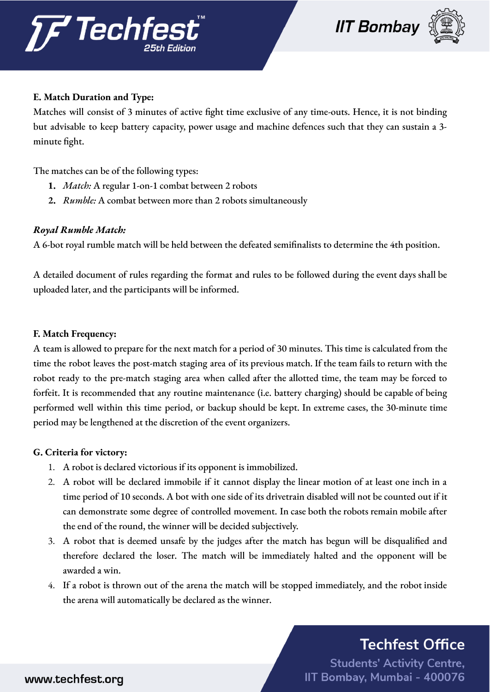



### **E. Match Duration and Type:**

Matches will consist of 3 minutes of active fight time exclusive of any time-outs. Hence, it is not binding but advisable to keep battery capacity, power usage and machine defences such that they can sustain a 3 minute fight.

The matches can be of the following types:

- **1.** *Match:* A regular 1-on-1 combat between 2 robots
- **2.** *Rumble:* A combat between more than 2 robots simultaneously

### *Royal Rumble Match:*

A 6-bot royal rumble match will be held between the defeated semifinalists to determine the 4th position.

A detailed document of rules regarding the format and rules to be followed during the event days shall be uploaded later, and the participants will be informed.

### **F. Match Frequency:**

A team is allowed to prepare for the next match for a period of 30 minutes. This time is calculated from the time the robot leaves the post-match staging area of its previous match. If the team fails to return with the robot ready to the pre-match staging area when called after the allotted time, the team may be forced to forfeit. It is recommended that any routine maintenance (i.e. battery charging) should be capable of being performed well within this time period, or backup should be kept. In extreme cases, the 30-minute time period may be lengthened at the discretion of the event organizers.

### **G. Criteria for victory:**

- 1. A robot is declared victorious if its opponent is immobilized.
- 2. A robot will be declared immobile if it cannot display the linear motion of at least one inch in a time period of 10 seconds. A bot with one side of its drivetrain disabled will not be counted out if it can demonstrate some degree of controlled movement. In case both the robots remain mobile after the end of the round, the winner will be decided subjectively.
- 3. A robot that is deemed unsafe by the judges after the match has begun will be disqualified and therefore declared the loser. The match will be immediately halted and the opponent will be awarded a win.
- 4. If a robot is thrown out of the arena the match will be stopped immediately, and the robot inside the arena will automatically be declared as the winner.

## **Techfest Office**

**Students' Activity Centre,** IIT Bombay, Mumbai - 400076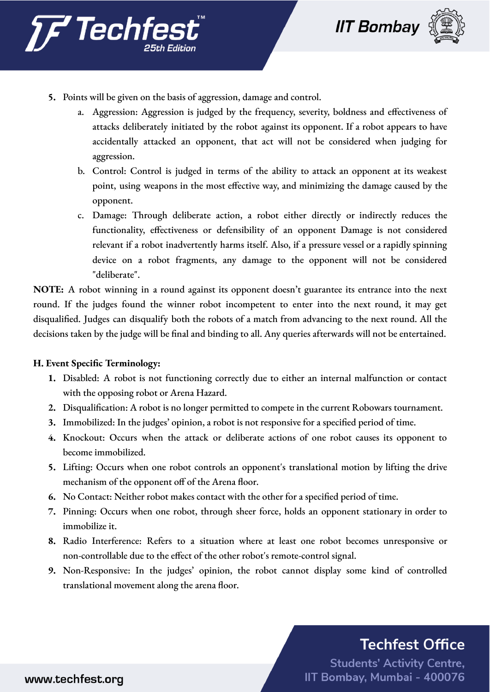





- **5.** Points will be given on the basis of aggression, damage and control.
	- a. Aggression: Aggression is judged by the frequency, severity, boldness and effectiveness of attacks deliberately initiated by the robot against its opponent. If a robot appears to have accidentally attacked an opponent, that act will not be considered when judging for aggression.
	- b. Control: Control is judged in terms of the ability to attack an opponent at its weakest point, using weapons in the most effective way, and minimizing the damage caused by the opponent.
	- c. Damage: Through deliberate action, a robot either directly or indirectly reduces the functionality, effectiveness or defensibility of an opponent Damage is not considered relevant if a robot inadvertently harms itself. Also, if a pressure vessel or a rapidly spinning device on a robot fragments, any damage to the opponent will not be considered "deliberate".

**NOTE:** A robot winning in a round against its opponent doesn't guarantee its entrance into the next round. If the judges found the winner robot incompetent to enter into the next round, it may get disqualified. Judges can disqualify both the robots of a match from advancing to the next round. All the decisions taken by the judge will be final and binding to all. Any queries afterwards will not be entertained.

### **H. Event Specific Terminology:**

- **1.** Disabled: A robot is not functioning correctly due to either an internal malfunction or contact with the opposing robot or Arena Hazard.
- **2.** Disqualification: A robot is no longer permitted to compete in the current Robowars tournament.
- **3.** Immobilized: In the judges' opinion, a robot is not responsive for a specified period of time.
- **4.** Knockout: Occurs when the attack or deliberate actions of one robot causes its opponent to become immobilized.
- **5.** Lifting: Occurs when one robot controls an opponent's translational motion by lifting the drive mechanism of the opponent off of the Arena floor.
- **6.** No Contact: Neither robot makes contact with the other for a specified period of time.
- **7.** Pinning: Occurs when one robot, through sheer force, holds an opponent stationary in order to immobilize it.
- **8.** Radio Interference: Refers to a situation where at least one robot becomes unresponsive or non-controllable due to the effect of the other robot's remote-control signal.
- **9.** Non-Responsive: In the judges' opinion, the robot cannot display some kind of controlled translational movement along the arena floor.

# **Techfest Office**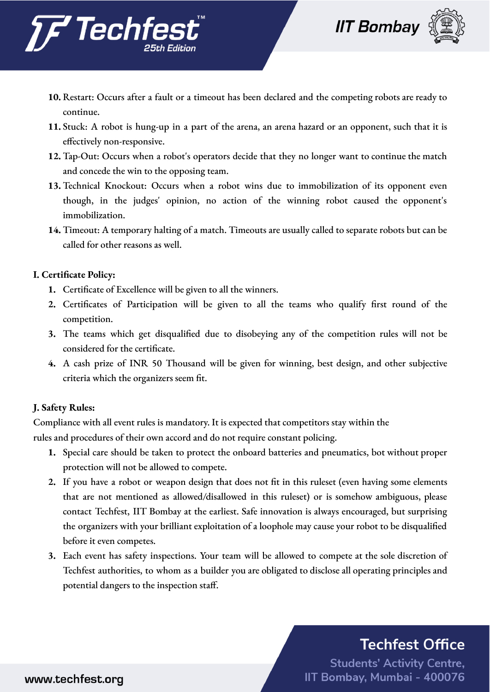





- **10.** Restart: Occurs after a fault or a timeout has been declared and the competing robots are ready to continue.
- **11.** Stuck: A robot is hung-up in a part of the arena, an arena hazard or an opponent, such that it is effectively non-responsive.
- **12.** Tap-Out: Occurs when a robot's operators decide that they no longer want to continue the match and concede the win to the opposing team.
- **13.** Technical Knockout: Occurs when a robot wins due to immobilization of its opponent even though, in the judges' opinion, no action of the winning robot caused the opponent's immobilization.
- **14.** Timeout: A temporary halting of a match. Timeouts are usually called to separate robots but can be called for other reasons as well.

### **I. Certificate Policy:**

- **1.** Certificate of Excellence will be given to all the winners.
- **2.** Certificates of Participation will be given to all the teams who qualify first round of the competition.
- **3.** The teams which get disqualified due to disobeying any of the competition rules will not be considered for the certificate.
- **4.** A cash prize of INR 50 Thousand will be given for winning, best design, and other subjective criteria which the organizers seem fit.

## **J. Safety Rules:**

Compliance with all event rules is mandatory. It is expected that competitors stay within the rules and procedures of their own accord and do not require constant policing.

- **1.** Special care should be taken to protect the onboard batteries and pneumatics, bot without proper protection will not be allowed to compete.
- **2.** If you have a robot or weapon design that does not fit in this ruleset (even having some elements that are not mentioned as allowed/disallowed in this ruleset) or is somehow ambiguous, please contact Techfest, IIT Bombay at the earliest. Safe innovation is always encouraged, but surprising the organizers with your brilliant exploitation of a loophole may cause your robot to be disqualified before it even competes.
- **3.** Each event has safety inspections. Your team will be allowed to compete at the sole discretion of Techfest authorities, to whom as a builder you are obligated to disclose all operating principles and potential dangers to the inspection staff.

# **Techfest Office**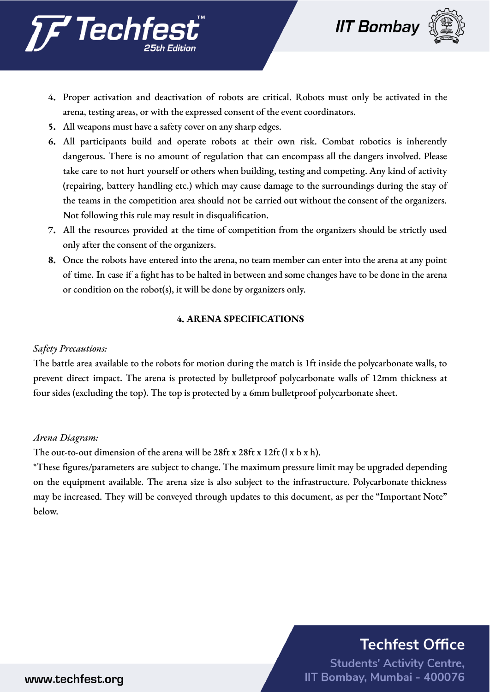



- **4.** Proper activation and deactivation of robots are critical. Robots must only be activated in the arena, testing areas, or with the expressed consent of the event coordinators.
- **5.** All weapons must have a safety cover on any sharp edges.
- **6.** All participants build and operate robots at their own risk. Combat robotics is inherently dangerous. There is no amount of regulation that can encompass all the dangers involved. Please take care to not hurt yourself or others when building, testing and competing. Any kind of activity (repairing, battery handling etc.) which may cause damage to the surroundings during the stay of the teams in the competition area should not be carried out without the consent of the organizers. Not following this rule may result in disqualification.
- **7.** All the resources provided at the time of competition from the organizers should be strictly used only after the consent of the organizers.
- **8.** Once the robots have entered into the arena, no team member can enter into the arena at any point of time. In case if a fight has to be halted in between and some changes have to be done in the arena or condition on the robot(s), it will be done by organizers only.

### **4. ARENA SPECIFICATIONS**

### *Safety Precautions:*

The battle area available to the robots for motion during the match is 1ft inside the polycarbonate walls, to prevent direct impact. The arena is protected by bulletproof polycarbonate walls of 12mm thickness at four sides (excluding the top). The top is protected by a 6mm bulletproof polycarbonate sheet.

### *Arena Diagram:*

The out-to-out dimension of the arena will be 28ft x 28ft x 12ft (l x b x h).

\*These figures/parameters are subject to change. The maximum pressure limit may be upgraded depending on the equipment available. The arena size is also subject to the infrastructure. Polycarbonate thickness may be increased. They will be conveyed through updates to this document, as per the "Important Note" below.

# **Techfest Office**